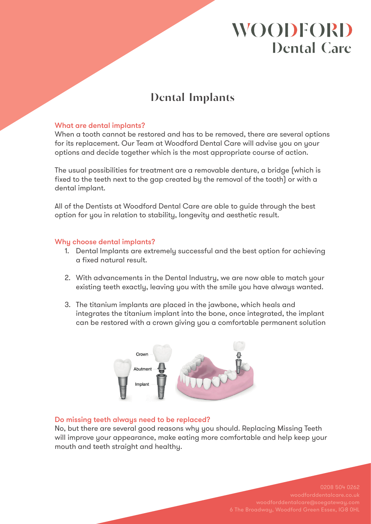# **WOODFORD Dental Care**

## **Dental Implants**

### What are dental implants?

When a tooth cannot be restored and has to be removed, there are several options for its replacement. Our Team at Woodford Dental Care will advise you on your options and decide together which is the most appropriate course of action.

The usual possibilities for treatment are a removable denture, a bridge (which is fixed to the teeth next to the gap created by the removal of the tooth) or with a dental implant.

All of the Dentists at Woodford Dental Care are able to guide through the best option for you in relation to stability, longevity and aesthetic result.

### Why choose dental implants?

- 1. Dental Implants are extremely successful and the best option for achieving a fixed natural result.
- 2. With advancements in the Dental Industry, we are now able to match your existing teeth exactly, leaving you with the smile you have always wanted.
- 3. The titanium implants are placed in the jawbone, which heals and integrates the titanium implant into the bone, once integrated, the implant can be restored with a crown giving you a comfortable permanent solution



#### Do missing teeth always need to be replaced?

No, but there are several good reasons why you should. Replacing Missing Teeth will improve your appearance, make eating more comfortable and help keep your mouth and teeth straight and healthy.